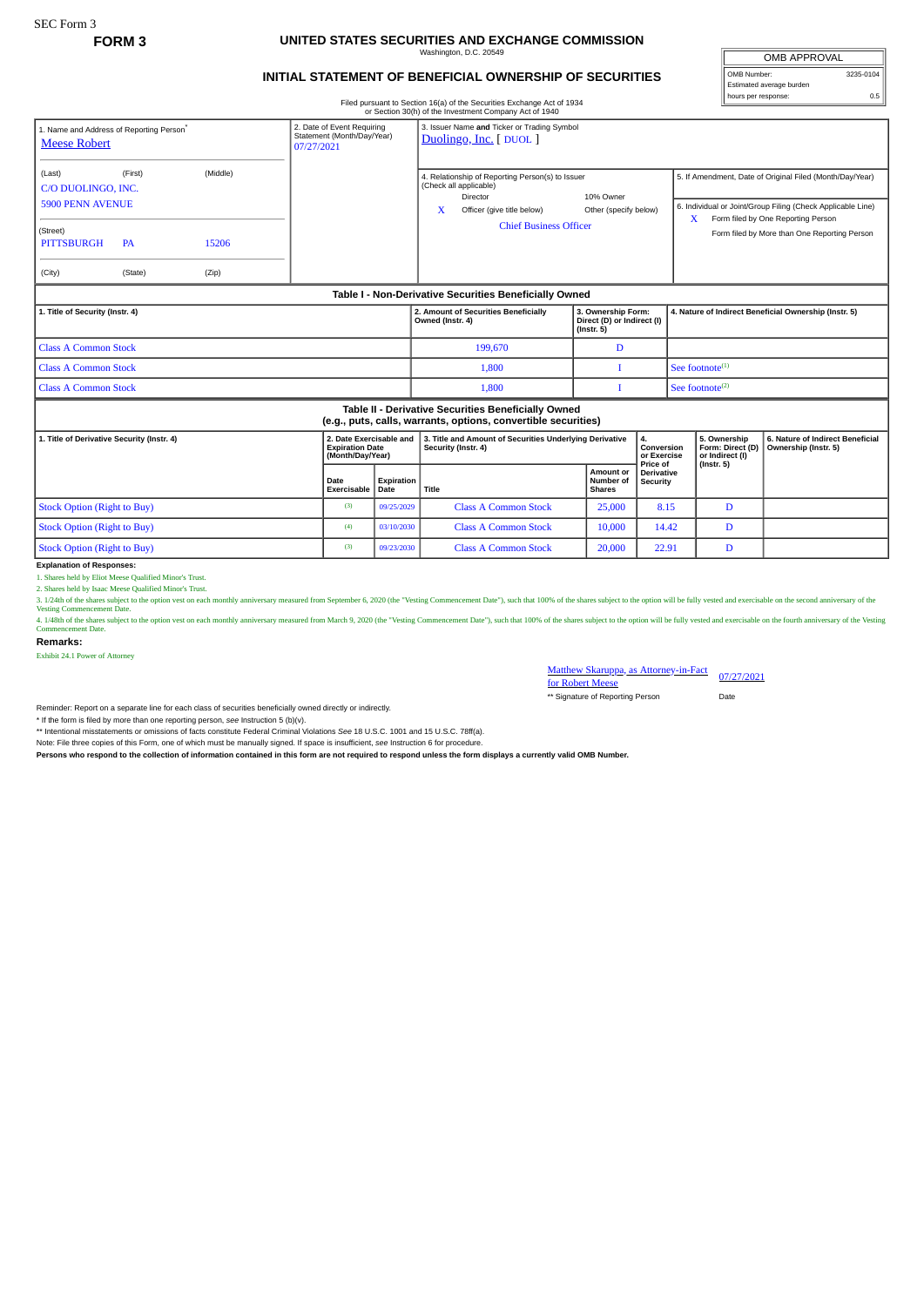## **FORM 3 UNITED STATES SECURITIES AND EXCHANGE COMMISSION**  $m = 100$

## **INITIAL STATEMENT OF BENEFICIAL OWNERSHIP OF SECURITIES**

Filed pursuant to Section 16(a) of the Securities Exchange Act of 1934 or Section 30(h) of the Investment Company Act of 1940

| <b>OMB APPROVAL</b>      |           |
|--------------------------|-----------|
| OMB Number:              | 3235-0104 |
| Estimated average burden |           |
| hours per response:      | 0.5       |

| 1. Name and Address of Reporting Person <sup>*</sup><br><b>Meese Robert</b>                                           |                                 |                                                                       | 2. Date of Event Requiring<br>Statement (Month/Day/Year)<br>07/27/2021 |                                                                                | 3. Issuer Name and Ticker or Trading Symbol<br>Duolingo, Inc. [ DUOL ]                                                                                                                           |                                                                              |                                                       |                                                                                                                                                                                                                    |                                                          |  |  |
|-----------------------------------------------------------------------------------------------------------------------|---------------------------------|-----------------------------------------------------------------------|------------------------------------------------------------------------|--------------------------------------------------------------------------------|--------------------------------------------------------------------------------------------------------------------------------------------------------------------------------------------------|------------------------------------------------------------------------------|-------------------------------------------------------|--------------------------------------------------------------------------------------------------------------------------------------------------------------------------------------------------------------------|----------------------------------------------------------|--|--|
| (Last)<br>C/O DUOLINGO, INC.<br><b>5900 PENN AVENUE</b><br>(Street)<br><b>PITTSBURGH</b><br>(City)                    | (First)<br><b>PA</b><br>(State) | (Middle)<br>15206<br>(Zip)                                            |                                                                        |                                                                                | 4. Relationship of Reporting Person(s) to Issuer<br>(Check all applicable)<br>Director<br>10% Owner<br>X<br>Officer (give title below)<br>Other (specify below)<br><b>Chief Business Officer</b> |                                                                              |                                                       | 5. If Amendment, Date of Original Filed (Month/Day/Year)<br>6. Individual or Joint/Group Filing (Check Applicable Line)<br>Form filed by One Reporting Person<br>X<br>Form filed by More than One Reporting Person |                                                          |  |  |
| Table I - Non-Derivative Securities Beneficially Owned                                                                |                                 |                                                                       |                                                                        |                                                                                |                                                                                                                                                                                                  |                                                                              |                                                       |                                                                                                                                                                                                                    |                                                          |  |  |
| 1. Title of Security (Instr. 4)                                                                                       |                                 |                                                                       |                                                                        | 2. Amount of Securities Beneficially<br>Owned (Instr. 4)                       | 3. Ownership Form:<br>Direct (D) or Indirect (I)<br>$($ Instr. 5 $)$                                                                                                                             |                                                                              | 4. Nature of Indirect Beneficial Ownership (Instr. 5) |                                                                                                                                                                                                                    |                                                          |  |  |
| <b>Class A Common Stock</b>                                                                                           |                                 |                                                                       |                                                                        |                                                                                | 199.670                                                                                                                                                                                          | D                                                                            |                                                       |                                                                                                                                                                                                                    |                                                          |  |  |
| <b>Class A Common Stock</b>                                                                                           |                                 |                                                                       |                                                                        |                                                                                | 1.800                                                                                                                                                                                            |                                                                              |                                                       | See footnote $(1)$                                                                                                                                                                                                 |                                                          |  |  |
| <b>Class A Common Stock</b>                                                                                           |                                 |                                                                       |                                                                        |                                                                                | 1,800                                                                                                                                                                                            |                                                                              |                                                       | See footnote $(2)$                                                                                                                                                                                                 |                                                          |  |  |
| Table II - Derivative Securities Beneficially Owned<br>(e.g., puts, calls, warrants, options, convertible securities) |                                 |                                                                       |                                                                        |                                                                                |                                                                                                                                                                                                  |                                                                              |                                                       |                                                                                                                                                                                                                    |                                                          |  |  |
| 1. Title of Derivative Security (Instr. 4)                                                                            |                                 | 2. Date Exercisable and<br><b>Expiration Date</b><br>(Month/Day/Year) |                                                                        | 3. Title and Amount of Securities Underlying Derivative<br>Security (Instr. 4) |                                                                                                                                                                                                  | 4.<br>Conversion<br>or Exercise<br>Price of<br><b>Derivative</b><br>Security |                                                       | 5. Ownership<br>Form: Direct (D)<br>or Indirect (I)<br>$($ Instr. 5 $)$                                                                                                                                            | 6. Nature of Indirect Beneficial<br>Ownership (Instr. 5) |  |  |
|                                                                                                                       |                                 | Date<br>Exercisable                                                   | Expiration<br>Date                                                     | Title                                                                          | Amount or<br>Number of<br><b>Shares</b>                                                                                                                                                          |                                                                              |                                                       |                                                                                                                                                                                                                    |                                                          |  |  |
| <b>Stock Option (Right to Buy)</b>                                                                                    |                                 |                                                                       | (3)                                                                    | 09/25/2029                                                                     | <b>Class A Common Stock</b>                                                                                                                                                                      | 8.15<br>25,000                                                               |                                                       |                                                                                                                                                                                                                    | D                                                        |  |  |
| <b>Stock Option (Right to Buy)</b>                                                                                    |                                 |                                                                       | (4)                                                                    | 03/10/2030                                                                     | <b>Class A Common Stock</b>                                                                                                                                                                      | 14.42<br>10,000                                                              |                                                       |                                                                                                                                                                                                                    | D                                                        |  |  |
| <b>Stock Option (Right to Buy)</b>                                                                                    |                                 |                                                                       | (3)                                                                    | 09/23/2030                                                                     | <b>Class A Common Stock</b>                                                                                                                                                                      | 20,000                                                                       | 22.91                                                 |                                                                                                                                                                                                                    | D                                                        |  |  |

**Explanation of Responses:**

1. Shares held by Eliot Meese Qualified Minor's Trust. 2. Shares held by Isaac Meese Qualified Minor's Trust.

3. 1/24th of the shares subject to the option vest on each monthly anniversary measured from September 6, 2020 (the "Vesting Commencement Date"), such that 100% of the shares subject to the option will be fully vested and

4. 148th of the shares subject to the option vest on each monthly anniversary measured from March 9, 2020 (the "Vesting Commencement Date"), such that 100% of the shares subject to the option will be fully vested and exerc

**Remarks:**

Exhibit 24.1 Power of Attorney

Matthew Skaruppa, as Attorney-in-Fact 07/27/2021<br>for Robert Meese

\*\* Signature of Reporting Person Date

Reminder: Report on a separate line for each class of securities beneficially owned directly or indirectly.

\* If the form is filed by more than one reporting person, *see* Instruction 5 (b)(v).

\*\* Intentional misstatements or omissions of facts constitute Federal Criminal Violations *See* 18 U.S.C. 1001 and 15 U.S.C. 78ff(a).

Note: File three copies of this Form, one of which must be manually signed. If space is insufficient, see Instruction 6 for procedure.<br>Persons who respond to the collection of information contained in this form are not req